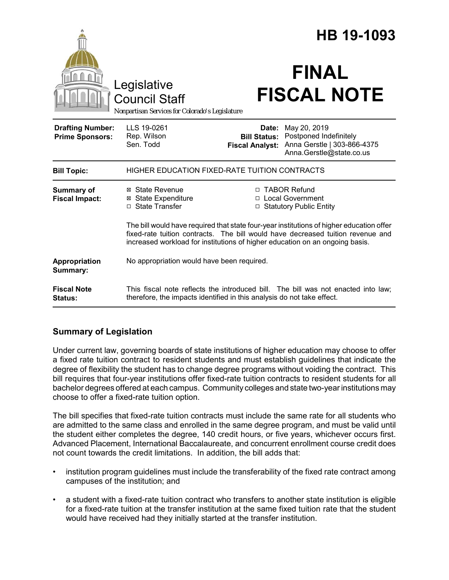|                                                   | Legislative<br><b>Council Staff</b>                                                                                                                                                                                                                         |                                                        | HB 19-1093<br><b>FINAL</b><br><b>FISCAL NOTE</b>                                                  |
|---------------------------------------------------|-------------------------------------------------------------------------------------------------------------------------------------------------------------------------------------------------------------------------------------------------------------|--------------------------------------------------------|---------------------------------------------------------------------------------------------------|
| Nonpartisan Services for Colorado's Legislature   |                                                                                                                                                                                                                                                             |                                                        |                                                                                                   |
| <b>Drafting Number:</b><br><b>Prime Sponsors:</b> | LLS 19-0261<br>Rep. Wilson<br>Sen. Todd                                                                                                                                                                                                                     | Date:<br><b>Bill Status:</b><br><b>Fiscal Analyst:</b> | May 20, 2019<br>Postponed Indefinitely<br>Anna Gerstle   303-866-4375<br>Anna.Gerstle@state.co.us |
| <b>Bill Topic:</b>                                | <b>HIGHER EDUCATION FIXED-RATE TUITION CONTRACTS</b>                                                                                                                                                                                                        |                                                        |                                                                                                   |
| <b>Summary of</b><br><b>Fiscal Impact:</b>        | ⊠ State Revenue<br><b>⊠</b> State Expenditure<br>$\Box$ State Transfer                                                                                                                                                                                      |                                                        | □ TABOR Refund<br>□ Local Government<br>□ Statutory Public Entity                                 |
|                                                   | The bill would have required that state four-year institutions of higher education offer<br>fixed-rate tuition contracts. The bill would have decreased tuition revenue and<br>increased workload for institutions of higher education on an ongoing basis. |                                                        |                                                                                                   |
| Appropriation<br>Summary:                         | No appropriation would have been required.                                                                                                                                                                                                                  |                                                        |                                                                                                   |
| <b>Fiscal Note</b><br>Status:                     | This fiscal note reflects the introduced bill. The bill was not enacted into law;<br>therefore, the impacts identified in this analysis do not take effect.                                                                                                 |                                                        |                                                                                                   |

# **Summary of Legislation**

Under current law, governing boards of state institutions of higher education may choose to offer a fixed rate tuition contract to resident students and must establish guidelines that indicate the degree of flexibility the student has to change degree programs without voiding the contract. This bill requires that four-year institutions offer fixed-rate tuition contracts to resident students for all bachelor degrees offered at each campus. Community colleges and state two-year institutions may choose to offer a fixed-rate tuition option.

The bill specifies that fixed-rate tuition contracts must include the same rate for all students who are admitted to the same class and enrolled in the same degree program, and must be valid until the student either completes the degree, 140 credit hours, or five years, whichever occurs first. Advanced Placement, International Baccalaureate, and concurrent enrollment course credit does not count towards the credit limitations. In addition, the bill adds that:

- institution program guidelines must include the transferability of the fixed rate contract among campuses of the institution; and
- a student with a fixed-rate tuition contract who transfers to another state institution is eligible for a fixed-rate tuition at the transfer institution at the same fixed tuition rate that the student would have received had they initially started at the transfer institution.